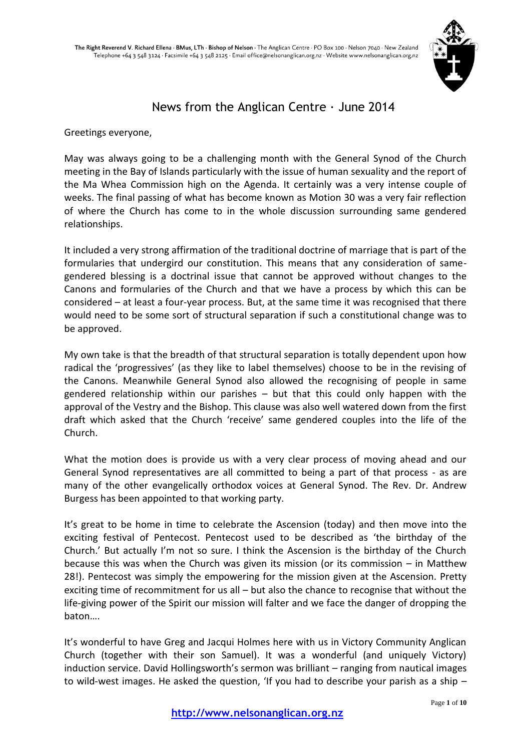

# News from the Anglican Centre  $\cdot$  June 2014

Greetings everyone,

May was always going to be a challenging month with the General Synod of the Church meeting in the Bay of Islands particularly with the issue of human sexuality and the report of the Ma Whea Commission high on the Agenda. It certainly was a very intense couple of weeks. The final passing of what has become known as Motion 30 was a very fair reflection of where the Church has come to in the whole discussion surrounding same gendered relationships.

It included a very strong affirmation of the traditional doctrine of marriage that is part of the formularies that undergird our constitution. This means that any consideration of samegendered blessing is a doctrinal issue that cannot be approved without changes to the Canons and formularies of the Church and that we have a process by which this can be considered – at least a four-year process. But, at the same time it was recognised that there would need to be some sort of structural separation if such a constitutional change was to be approved.

My own take is that the breadth of that structural separation is totally dependent upon how radical the 'progressives' (as they like to label themselves) choose to be in the revising of the Canons. Meanwhile General Synod also allowed the recognising of people in same gendered relationship within our parishes – but that this could only happen with the approval of the Vestry and the Bishop. This clause was also well watered down from the first draft which asked that the Church 'receive' same gendered couples into the life of the Church.

What the motion does is provide us with a very clear process of moving ahead and our General Synod representatives are all committed to being a part of that process - as are many of the other evangelically orthodox voices at General Synod. The Rev. Dr. Andrew Burgess has been appointed to that working party.

It's great to be home in time to celebrate the Ascension (today) and then move into the exciting festival of Pentecost. Pentecost used to be described as 'the birthday of the Church.' But actually I'm not so sure. I think the Ascension is the birthday of the Church because this was when the Church was given its mission (or its commission  $-$  in Matthew 28!). Pentecost was simply the empowering for the mission given at the Ascension. Pretty exciting time of recommitment for us all – but also the chance to recognise that without the life-giving power of the Spirit our mission will falter and we face the danger of dropping the baton….

It's wonderful to have Greg and Jacqui Holmes here with us in Victory Community Anglican Church (together with their son Samuel). It was a wonderful (and uniquely Victory) induction service. David Hollingsworth's sermon was brilliant – ranging from nautical images to wild-west images. He asked the question, 'If you had to describe your parish as a ship –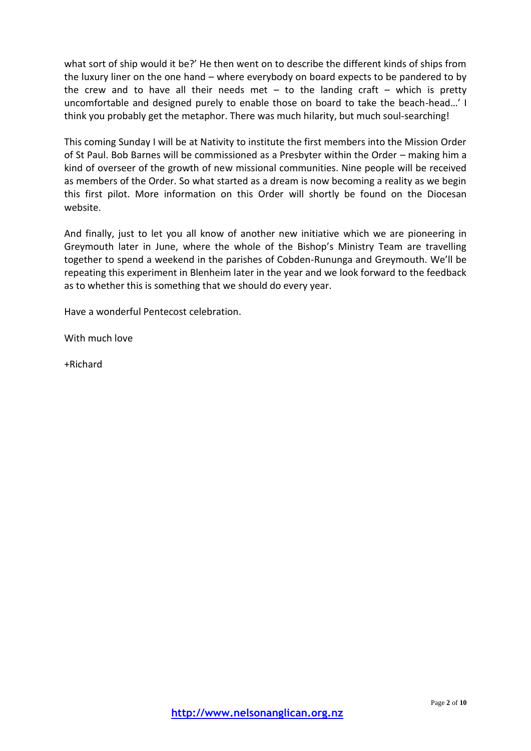what sort of ship would it be?' He then went on to describe the different kinds of ships from the luxury liner on the one hand – where everybody on board expects to be pandered to by the crew and to have all their needs met  $-$  to the landing craft  $-$  which is pretty uncomfortable and designed purely to enable those on board to take the beach-head…' I think you probably get the metaphor. There was much hilarity, but much soul-searching!

This coming Sunday I will be at Nativity to institute the first members into the Mission Order of St Paul. Bob Barnes will be commissioned as a Presbyter within the Order – making him a kind of overseer of the growth of new missional communities. Nine people will be received as members of the Order. So what started as a dream is now becoming a reality as we begin this first pilot. More information on this Order will shortly be found on the Diocesan website.

And finally, just to let you all know of another new initiative which we are pioneering in Greymouth later in June, where the whole of the Bishop's Ministry Team are travelling together to spend a weekend in the parishes of Cobden-Rununga and Greymouth. We'll be repeating this experiment in Blenheim later in the year and we look forward to the feedback as to whether this is something that we should do every year.

Have a wonderful Pentecost celebration.

With much love

+Richard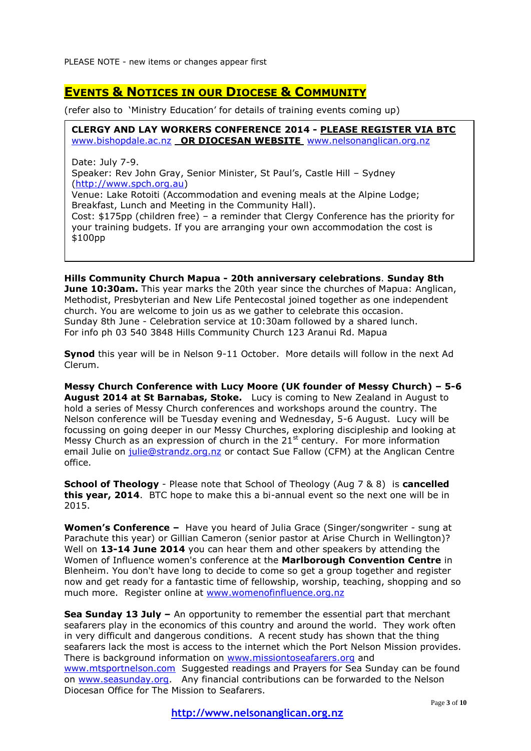# **EVENTS & NOTICES IN OUR DIOCESE & COMMUNITY**

(refer also to 'Ministry Education' for details of training events coming up)

**CLERGY AND LAY WORKERS CONFERENCE 2014 - PLEASE REGISTER VIA BTC**  [www.bishopdale.ac.nz](http://www.bishopdale.ac.nz/) **OR DIOCESAN WEBSITE** [www.nelsonanglican.org.nz](http://www.nelsonanglican.org.nz/)

Date: July 7-9.

Speaker: Rev John Gray, Senior Minister, St Paul's, Castle Hill – Sydney [\(http://www.spch.org.au\)](http://www.spch.org.au/)

Venue: Lake Rotoiti (Accommodation and evening meals at the Alpine Lodge; Breakfast, Lunch and Meeting in the Community Hall).

Cost: \$175pp (children free) – a reminder that Clergy Conference has the priority for your training budgets. If you are arranging your own accommodation the cost is \$100pp

**Hills Community Church Mapua - 20th anniversary celebrations**. **Sunday 8th June 10:30am.** This year marks the 20th year since the churches of Mapua: Anglican, Methodist, Presbyterian and New Life Pentecostal joined together as one independent church. You are welcome to join us as we gather to celebrate this occasion. Sunday 8th June - Celebration service at 10:30am followed by a shared lunch. For info ph 03 540 3848 Hills Community Church 123 Aranui Rd. Mapua

**Synod** this year will be in Nelson 9-11 October. More details will follow in the next Ad Clerum.

**Messy Church Conference with Lucy Moore (UK founder of Messy Church) – 5-6 August 2014 at St Barnabas, Stoke.** Lucy is coming to New Zealand in August to hold a series of Messy Church conferences and workshops around the country. The Nelson conference will be Tuesday evening and Wednesday, 5-6 August. Lucy will be focussing on going deeper in our Messy Churches, exploring discipleship and looking at Messy Church as an expression of church in the 21<sup>st</sup> century. For more information email Julie on [julie@strandz.org.nz](mailto:julie@strandz.org.nz) or contact Sue Fallow (CFM) at the Anglican Centre office.

**School of Theology** - Please note that School of Theology (Aug 7 & 8) is **cancelled this year, 2014**. BTC hope to make this a bi-annual event so the next one will be in 2015.

**Women's Conference –** Have you heard of Julia Grace (Singer/songwriter - sung at Parachute this year) or Gillian Cameron (senior pastor at Arise Church in Wellington)? Well on **13-14 June 2014** you can hear them and other speakers by attending the Women of Influence women's conference at the **Marlborough Convention Centre** in Blenheim. You don't have long to decide to come so get a group together and register now and get ready for a fantastic time of fellowship, worship, teaching, shopping and so much more. Register online at [www.womenofinfluence.org.nz](http://www.womenofinfluence.org.nz/)

**Sea Sunday 13 July –** An opportunity to remember the essential part that merchant seafarers play in the economics of this country and around the world. They work often in very difficult and dangerous conditions. A recent study has shown that the thing seafarers lack the most is access to the internet which the Port Nelson Mission provides. There is background information on [www.missiontoseafarers.org](http://www.missiontoseafarers.org/) and [www.mtsportnelson.com](http://www.mtsportnelson.com/) Suggested readings and Prayers for Sea Sunday can be found on [www.seasunday.org.](http://www.seasunday.org/) Any financial contributions can be forwarded to the Nelson Diocesan Office for The Mission to Seafarers.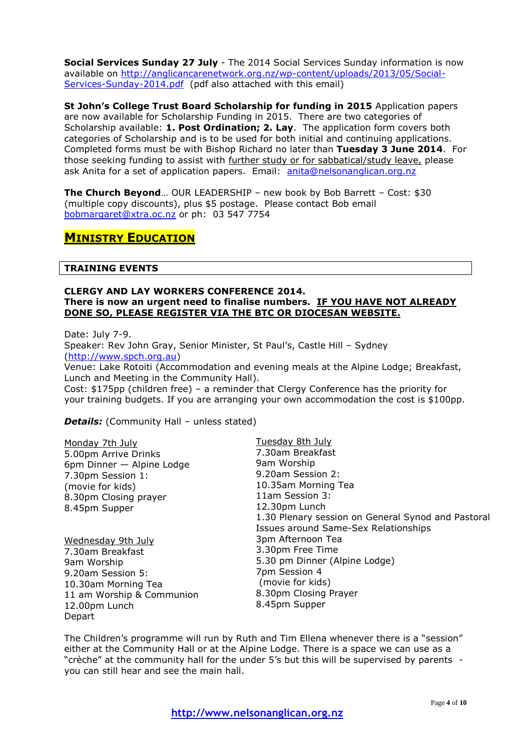**Social Services Sunday 27 July** - The 2014 Social Services Sunday information is now available on [http://anglicancarenetwork.org.nz/wp-content/uploads/2013/05/Social-](http://anglicancarenetwork.org.nz/wp-content/uploads/2013/05/Social-Services-Sunday-2014.pdf)[Services-Sunday-2014.pdf](http://anglicancarenetwork.org.nz/wp-content/uploads/2013/05/Social-Services-Sunday-2014.pdf) (pdf also attached with this email)

**St John's College Trust Board Scholarship for funding in 2015** Application papers are now available for Scholarship Funding in 2015. There are two categories of Scholarship available: **1. Post Ordination; 2. Lay**. The application form covers both categories of Scholarship and is to be used for both initial and continuing applications. Completed forms must be with Bishop Richard no later than **Tuesday 3 June 2014**. For those seeking funding to assist with further study or for sabbatical/study leave, please ask Anita for a set of application papers. Email: [anita@nelsonanglican.org.nz](mailto:anita@nelsonanglican.org.nz)

**The Church Beyond**… OUR LEADERSHIP – new book by Bob Barrett – Cost: \$30 (multiple copy discounts), plus \$5 postage. Please contact Bob email [bobmargaret@xtra.oc.nz](mailto:bobmargaret@xtra.oc.nz) or ph: 03 547 7754

# **MINISTRY EDUCATION**

## **TRAINING EVENTS**

#### **CLERGY AND LAY WORKERS CONFERENCE 2014. There is now an urgent need to finalise numbers. IF YOU HAVE NOT ALREADY DONE SO, PLEASE REGISTER VIA THE BTC OR DIOCESAN WEBSITE.**

Date: July 7-9.

Speaker: Rev John Gray, Senior Minister, St Paul's, Castle Hill – Sydney [\(http://www.spch.org.au\)](http://www.spch.org.au/)

Venue: Lake Rotoiti (Accommodation and evening meals at the Alpine Lodge; Breakfast, Lunch and Meeting in the Community Hall).

Cost: \$175pp (children free) – a reminder that Clergy Conference has the priority for your training budgets. If you are arranging your own accommodation the cost is \$100pp.

**Details:** (Community Hall - unless stated)

| Monday 7th July           | Tuesday 8th July                                   |
|---------------------------|----------------------------------------------------|
| 5.00pm Arrive Drinks      | 7.30am Breakfast                                   |
| 6pm Dinner - Alpine Lodge | 9am Worship                                        |
| 7.30pm Session 1:         | 9.20am Session 2:                                  |
| (movie for kids)          | 10.35am Morning Tea                                |
| 8.30pm Closing prayer     | 11am Session 3:                                    |
| 8.45pm Supper             | 12.30pm Lunch                                      |
|                           | 1.30 Plenary session on General Synod and Pastoral |
|                           | Issues around Same-Sex Relationships               |
| Wednesday 9th July        | 3pm Afternoon Tea                                  |
| 7.30am Breakfast          | 3.30pm Free Time                                   |
| 9am Worship               | 5.30 pm Dinner (Alpine Lodge)                      |
| 9.20am Session 5:         | 7pm Session 4                                      |
| 10.30am Morning Tea       | (movie for kids)                                   |
| 11 am Worship & Communion | 8.30pm Closing Prayer                              |
| 12.00pm Lunch             | 8.45pm Supper                                      |
| Depart                    |                                                    |

The Children's programme will run by Ruth and Tim Ellena whenever there is a "session" either at the Community Hall or at the Alpine Lodge. There is a space we can use as a "crèche" at the community hall for the under 5's but this will be supervised by parents you can still hear and see the main hall.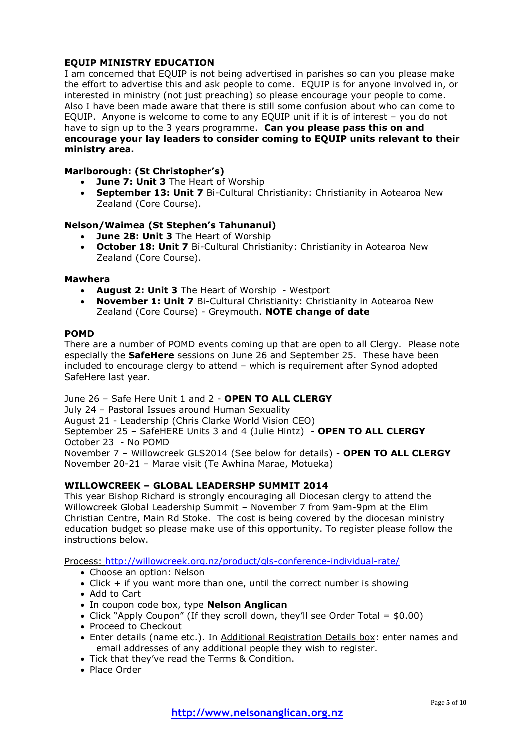# **EQUIP MINISTRY EDUCATION**

I am concerned that EQUIP is not being advertised in parishes so can you please make the effort to advertise this and ask people to come. EQUIP is for anyone involved in, or interested in ministry (not just preaching) so please encourage your people to come. Also I have been made aware that there is still some confusion about who can come to EQUIP. Anyone is welcome to come to any EQUIP unit if it is of interest – you do not have to sign up to the 3 years programme. **Can you please pass this on and encourage your lay leaders to consider coming to EQUIP units relevant to their ministry area.**

# **Marlborough: (St Christopher's)**

- **June 7: Unit 3** The Heart of Worship
- **September 13: Unit 7** Bi-Cultural Christianity: Christianity in Aotearoa New Zealand (Core Course).

# **Nelson/Waimea (St Stephen's Tahunanui)**

- **June 28: Unit 3** The Heart of Worship
- **October 18: Unit 7** Bi-Cultural Christianity: Christianity in Aotearoa New Zealand (Core Course).

#### **Mawhera**

- **August 2: Unit 3** The Heart of Worship Westport
- **November 1: Unit 7** Bi-Cultural Christianity: Christianity in Aotearoa New Zealand (Core Course) - Greymouth. **NOTE change of date**

#### **POMD**

There are a number of POMD events coming up that are open to all Clergy. Please note especially the **SafeHere** sessions on June 26 and September 25. These have been included to encourage clergy to attend – which is requirement after Synod adopted SafeHere last year.

# June 26 – Safe Here Unit 1 and 2 - **OPEN TO ALL CLERGY**

July 24 – Pastoral Issues around Human Sexuality

August 21 - Leadership (Chris Clarke World Vision CEO)

September 25 – SafeHERE Units 3 and 4 (Julie Hintz) - **OPEN TO ALL CLERGY** October 23 - No POMD

November 7 – Willowcreek GLS2014 (See below for details) - **OPEN TO ALL CLERGY** November 20-21 – Marae visit (Te Awhina Marae, Motueka)

# **WILLOWCREEK – GLOBAL LEADERSHP SUMMIT 2014**

This year Bishop Richard is strongly encouraging all Diocesan clergy to attend the Willowcreek Global Leadership Summit – November 7 from 9am-9pm at the Elim Christian Centre, Main Rd Stoke. The cost is being covered by the diocesan ministry education budget so please make use of this opportunity. To register please follow the instructions below.

Process:<http://willowcreek.org.nz/product/gls-conference-individual-rate/>

- Choose an option: Nelson
- Click + if you want more than one, until the correct number is showing
- Add to Cart
- In coupon code box, type **Nelson Anglican**
- Click "Apply Coupon" (If they scroll down, they'll see Order Total =  $$0.00$ )
- Proceed to Checkout
- Enter details (name etc.). In Additional Registration Details box: enter names and email addresses of any additional people they wish to register.
- Tick that they've read the Terms & Condition.
- Place Order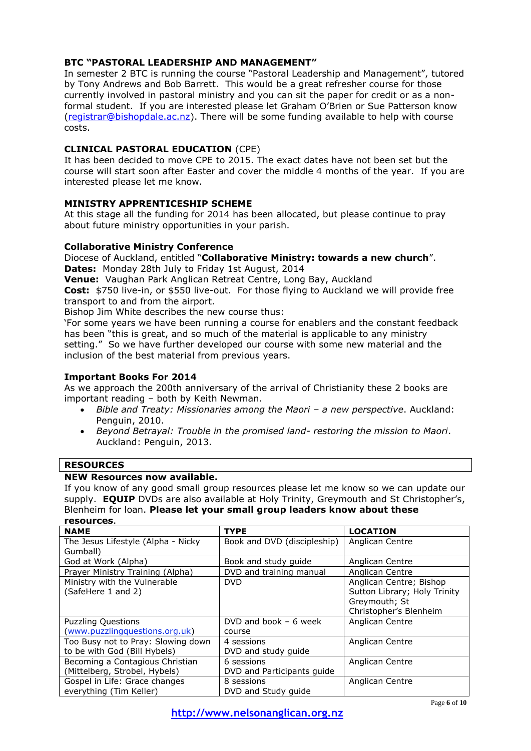# **BTC "PASTORAL LEADERSHIP AND MANAGEMENT"**

In semester 2 BTC is running the course "Pastoral Leadership and Management", tutored by Tony Andrews and Bob Barrett. This would be a great refresher course for those currently involved in pastoral ministry and you can sit the paper for credit or as a nonformal student. If you are interested please let Graham O'Brien or Sue Patterson know [\(registrar@bishopdale.ac.nz\)](mailto:registrar@bishopdale.ac.nz). There will be some funding available to help with course costs.

# **CLINICAL PASTORAL EDUCATION** (CPE)

It has been decided to move CPE to 2015. The exact dates have not been set but the course will start soon after Easter and cover the middle 4 months of the year. If you are interested please let me know.

## **MINISTRY APPRENTICESHIP SCHEME**

At this stage all the funding for 2014 has been allocated, but please continue to pray about future ministry opportunities in your parish.

## **Collaborative Ministry Conference**

Diocese of Auckland, entitled "**Collaborative Ministry: towards a new church**". **Dates:** Monday 28th July to Friday 1st August, 2014

**Venue:** Vaughan Park Anglican Retreat Centre, Long Bay, Auckland

**Cost:** \$750 live-in, or \$550 live-out. For those flying to Auckland we will provide free transport to and from the airport.

Bishop Jim White describes the new course thus:

'For some years we have been running a course for enablers and the constant feedback has been "this is great, and so much of the material is applicable to any ministry setting." So we have further developed our course with some new material and the inclusion of the best material from previous years.

## **Important Books For 2014**

As we approach the 200th anniversary of the arrival of Christianity these 2 books are important reading – both by Keith Newman.

- Bible and Treaty: Missionaries among the Maori a new perspective. Auckland: Penguin, 2010.
- *Beyond Betrayal: Trouble in the promised land- restoring the mission to Maori*. Auckland: Penguin, 2013.

## **RESOURCES**

#### **NEW Resources now available.**

If you know of any good small group resources please let me know so we can update our supply. **EQUIP** DVDs are also available at Holy Trinity, Greymouth and St Christopher's, Blenheim for loan. **Please let your small group leaders know about these resources**.

| <b>NAME</b>                        | <b>TYPE</b>                 | <b>LOCATION</b>              |  |
|------------------------------------|-----------------------------|------------------------------|--|
| The Jesus Lifestyle (Alpha - Nicky | Book and DVD (discipleship) | Anglican Centre              |  |
| Gumball)                           |                             |                              |  |
| God at Work (Alpha)                | Book and study quide        | Anglican Centre              |  |
| Prayer Ministry Training (Alpha)   | DVD and training manual     | Anglican Centre              |  |
| Ministry with the Vulnerable       | <b>DVD</b>                  | Anglican Centre; Bishop      |  |
| (SafeHere 1 and 2)                 |                             | Sutton Library; Holy Trinity |  |
|                                    |                             | Greymouth; St                |  |
|                                    |                             | Christopher's Blenheim       |  |
| <b>Puzzling Questions</b>          | DVD and book $-6$ week      | Anglican Centre              |  |
| (www.puzzlingquestions.org.uk)     | course                      |                              |  |
| Too Busy not to Pray: Slowing down | 4 sessions                  | Anglican Centre              |  |
| to be with God (Bill Hybels)       | DVD and study quide         |                              |  |
| Becoming a Contagious Christian    | 6 sessions                  | Anglican Centre              |  |
| (Mittelberg, Strobel, Hybels)      | DVD and Participants quide  |                              |  |
| Gospel in Life: Grace changes      | 8 sessions                  | Anglican Centre              |  |
| everything (Tim Keller)            | DVD and Study quide         |                              |  |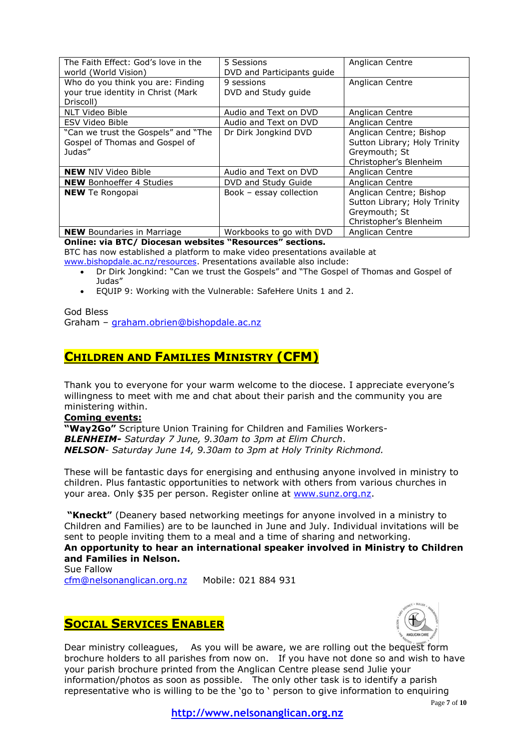| The Faith Effect: God's love in the<br>world (World Vision)                          | 5 Sessions<br>DVD and Participants guide | Anglican Centre                                                                                    |  |
|--------------------------------------------------------------------------------------|------------------------------------------|----------------------------------------------------------------------------------------------------|--|
| Who do you think you are: Finding<br>your true identity in Christ (Mark<br>Driscoll) | 9 sessions<br>DVD and Study guide        | Anglican Centre                                                                                    |  |
| NLT Video Bible                                                                      | Audio and Text on DVD                    | Anglican Centre                                                                                    |  |
| <b>ESV Video Bible</b>                                                               | Audio and Text on DVD                    | Anglican Centre                                                                                    |  |
| "Can we trust the Gospels" and "The<br>Gospel of Thomas and Gospel of<br>Judas"      | Dr Dirk Jongkind DVD                     | Anglican Centre; Bishop<br>Sutton Library; Holy Trinity<br>Greymouth; St<br>Christopher's Blenheim |  |
| <b>NEW NIV Video Bible</b>                                                           | Audio and Text on DVD                    | Anglican Centre                                                                                    |  |
| <b>NEW</b> Bonhoeffer 4 Studies                                                      | DVD and Study Guide                      | Anglican Centre                                                                                    |  |
| <b>NEW</b> Te Rongopai                                                               | Book - essay collection                  | Anglican Centre; Bishop<br>Sutton Library; Holy Trinity<br>Greymouth; St<br>Christopher's Blenheim |  |
| <b>NEW</b> Boundaries in Marriage                                                    | Workbooks to go with DVD                 | Anglican Centre                                                                                    |  |

**Online: via BTC/ Diocesan websites "Resources" sections.**

BTC has now established a platform to make video presentations available at [www.bishopdale.ac.nz/resources.](http://www.bishopdale.ac.nz/resources) Presentations available also include:

- Dr Dirk Jongkind: "Can we trust the Gospels" and "The Gospel of Thomas and Gospel of Judas"
- EQUIP 9: Working with the Vulnerable: SafeHere Units 1 and 2.

God Bless Graham – [graham.obrien@bishopdale.ac.nz](mailto:graham.obrien@bishopdale.ac.nz)

# **CHILDREN AND FAMILIES MINISTRY (CFM)**

Thank you to everyone for your warm welcome to the diocese. I appreciate everyone's willingness to meet with me and chat about their parish and the community you are ministering within.

## **Coming events:**

**"Way2Go"** Scripture Union Training for Children and Families Workers-*BLENHEIM- Saturday 7 June, 9.30am to 3pm at Elim Church*. *NELSON- Saturday June 14, 9.30am to 3pm at Holy Trinity Richmond.*

These will be fantastic days for energising and enthusing anyone involved in ministry to children. Plus fantastic opportunities to network with others from various churches in your area. Only \$35 per person. Register online at [www.sunz.org.nz.](http://www.sunz.org.nz/)

**"Kneckt"** (Deanery based networking meetings for anyone involved in a ministry to Children and Families) are to be launched in June and July. Individual invitations will be sent to people inviting them to a meal and a time of sharing and networking.

# **An opportunity to hear an international speaker involved in Ministry to Children and Families in Nelson.**

Sue Fallow [cfm@nelsonanglican.org.nz](mailto:cfm@nelsonanglican.org.nz)  Mobile: 021 884 931

# **SOCIAL SERVICES ENABLER**



Dear ministry colleagues, As you will be aware, we are rolling out the bequest form brochure holders to all parishes from now on. If you have not done so and wish to have your parish brochure printed from the Anglican Centre please send Julie your information/photos as soon as possible. The only other task is to identify a parish representative who is willing to be the 'go to ' person to give information to enquiring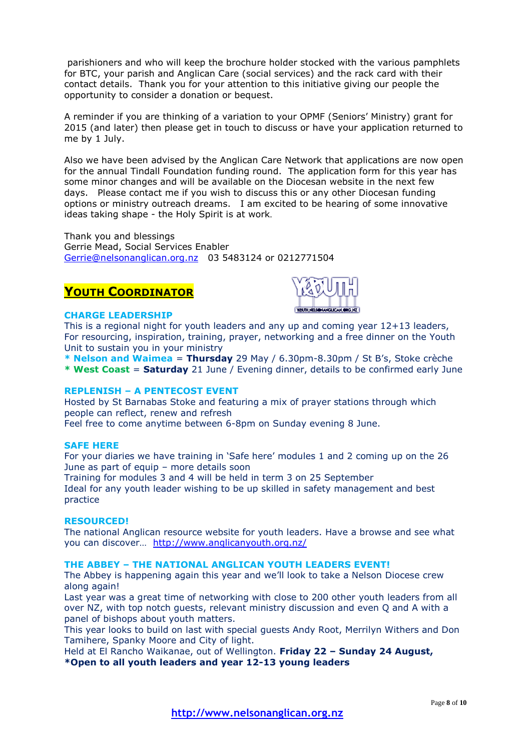parishioners and who will keep the brochure holder stocked with the various pamphlets for BTC, your parish and Anglican Care (social services) and the rack card with their contact details. Thank you for your attention to this initiative giving our people the opportunity to consider a donation or bequest.

A reminder if you are thinking of a variation to your OPMF (Seniors' Ministry) grant for 2015 (and later) then please get in touch to discuss or have your application returned to me by 1 July.

Also we have been advised by the Anglican Care Network that applications are now open for the annual Tindall Foundation funding round. The application form for this year has some minor changes and will be available on the Diocesan website in the next few days. Please contact me if you wish to discuss this or any other Diocesan funding options or ministry outreach dreams. I am excited to be hearing of some innovative ideas taking shape - the Holy Spirit is at work.

Thank you and blessings Gerrie Mead, Social Services Enabler [Gerrie@nelsonanglican.org.nz](mailto:Gerrie@nelsonanglican.org.nz) 03 5483124 or 0212771504

# **YOUTH COORDINATOR**



# **CHARGE LEADERSHIP**

This is a regional night for youth leaders and any up and coming year 12+13 leaders, For resourcing, inspiration, training, prayer, networking and a free dinner on the Youth Unit to sustain you in your ministry

**\* Nelson and Waimea** = **Thursday** 29 May / 6.30pm-8.30pm / St B's, Stoke crèche

**\* West Coast** = **Saturday** 21 June / Evening dinner, details to be confirmed early June

## **REPLENISH – A PENTECOST EVENT**

Hosted by St Barnabas Stoke and featuring a mix of prayer stations through which people can reflect, renew and refresh Feel free to come anytime between 6-8pm on Sunday evening 8 June.

#### **SAFE HERE**

For your diaries we have training in 'Safe here' modules 1 and 2 coming up on the 26 June as part of equip – more details soon

Training for modules 3 and 4 will be held in term 3 on 25 September

Ideal for any youth leader wishing to be up skilled in safety management and best practice

## **RESOURCED!**

The national Anglican resource website for youth leaders. Have a browse and see what you can discover… <http://www.anglicanyouth.org.nz/>

## **THE ABBEY – THE NATIONAL ANGLICAN YOUTH LEADERS EVENT!**

The Abbey is happening again this year and we'll look to take a Nelson Diocese crew along again!

Last year was a great time of networking with close to 200 other youth leaders from all over NZ, with top notch guests, relevant ministry discussion and even Q and A with a panel of bishops about youth matters.

This year looks to build on last with special guests Andy Root, Merrilyn Withers and Don Tamihere, Spanky Moore and City of light.

Held at El Rancho Waikanae, out of Wellington. **Friday 22 – Sunday 24 August, \*Open to all youth leaders and year 12-13 young leaders**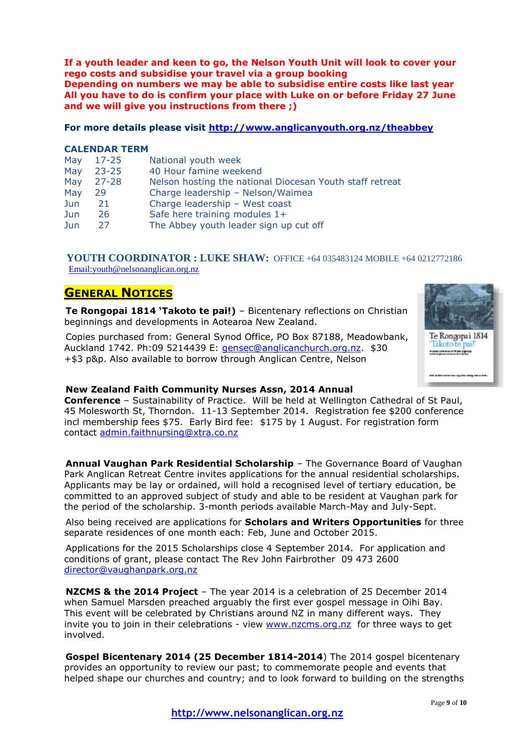**If a youth leader and keen to go, the Nelson Youth Unit will look to cover your rego costs and subsidise your travel via a group booking Depending on numbers we may be able to subsidise entire costs like last year All you have to do is confirm your place with Luke on or before Friday 27 June and we will give you instructions from there ;)**

#### **For more details please visit<http://www.anglicanyouth.org.nz/theabbey>**

#### **CALENDAR TERM**

| May  | 17-25     | National youth week                                      |
|------|-----------|----------------------------------------------------------|
| May  | $23 - 25$ | 40 Hour famine weekend                                   |
| May  | 27-28     | Nelson hosting the national Diocesan Youth staff retreat |
| May  | 29        | Charge leadership - Nelson/Waimea                        |
| Jun. | 21        | Charge leadership - West coast                           |
| Jun. | 26        | Safe here training modules 1+                            |
| Jun  | 27        | The Abbey youth leader sign up cut off                   |

## **YOUTH COORDINATOR : LUKE SHAW:** OFFICE +64 035483124 MOBILE +64 0212772186 [Email:youth@nelsonanglican.org.nz](mailto:youth@nelsonanglican.org.nz)

# **GENERAL NOTICES**

**Te Rongopai 1814 'Takoto te pai!)** – Bicentenary reflections on Christian beginnings and developments in Aotearoa New Zealand.

Copies purchased from: General Synod Office, PO Box 87188, Meadowbank, Auckland 1742. Ph:09 5214439 E: [gensec@anglicanchurch.org.nz.](mailto:gensec@anglicanchurch.org.nz) \$30 +\$3 p&p. Also available to borrow through Anglican Centre, Nelson



## **New Zealand Faith Community Nurses Assn, 2014 Annual**

**Conference** – Sustainability of Practice. Will be held at Wellington Cathedral of St Paul, 45 Molesworth St, Thorndon. 11-13 September 2014. Registration fee \$200 conference incl membership fees \$75. Early Bird fee: \$175 by 1 August. For registration form contact [admin.faithnursing@xtra.co.nz](mailto:admin.faithnursing@xtra.co.nz) 

**Annual Vaughan Park Residential Scholarship** – The Governance Board of Vaughan Park Anglican Retreat Centre invites applications for the annual residential scholarships. Applicants may be lay or ordained, will hold a recognised level of tertiary education, be committed to an approved subject of study and able to be resident at Vaughan park for the period of the scholarship. 3-month periods available March-May and July-Sept.

Also being received are applications for **Scholars and Writers Opportunities** for three separate residences of one month each: Feb, June and October 2015.

Applications for the 2015 Scholarships close 4 September 2014. For application and conditions of grant, please contact The Rev John Fairbrother 09 473 2600 [director@vaughanpark.org.nz](mailto:director@vaughanpark.org.nz)

**NZCMS & the 2014 Project** – The year 2014 is a celebration of 25 December 2014 when Samuel Marsden preached arguably the first ever gospel message in Oihi Bay. This event will be celebrated by Christians around NZ in many different ways. They invite you to join in their celebrations - view [www.nzcms.org.nz](http://www.nzcms.org.nz/) for three ways to get involved.

**Gospel Bicentenary 2014 (25 December 1814-2014**) The 2014 gospel bicentenary provides an opportunity to review our past; to commemorate people and events that helped shape our churches and country; and to look forward to building on the strengths